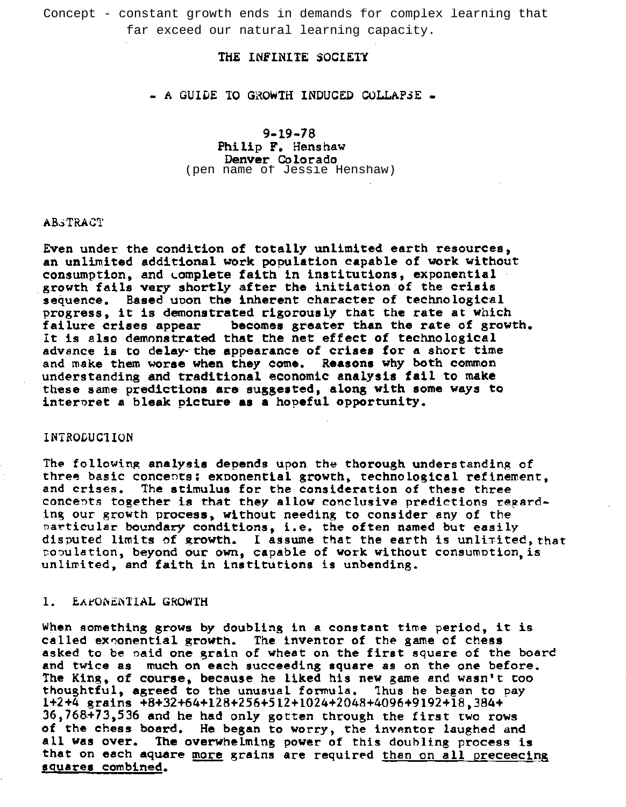Concept - constant growth ends in demands for complex learning that

# THE INFINITE SOCIETY

## $-$  A GUIDE TO GROWTH INDUCED COLLAPSE  $-$

9-19-78 Philip F. Henshaw Denver Colorado<br>(pen name of Jessie Henshaw) far exceed our natural learning capacity.<br>
THE INFINITE SOCIETY<br>
- A GUIDE TO GROWTH INDUCED COLLAPSE<br>
9-19-78<br>
Philip F. Henshaw<br>
Denver Colorado<br>
(pen name of Jessie Henshaw)

## **AB**STRACT

Even under the condition of totally unlimited earth resources, an unlimited additional work population capable of work without consumption, and complete faith in institutions, exponential growth fails very shortly after the initiation of the crisis sequence. Based upon the inherent character of technological progress, it is demonstrated rigorously that the rate at Which failure crises appear becomes greater than the rate of growth. It is also demonstrated that the net effect of technological advance is to delay-the appearance of crises for a short time and make them worse when they come. Reasons Why both common understanding and traditional economic analysis fail to make these same predictions are suggested, along with some ways to interpret a bleak picture as a hopeful opportunity.

### INTRODUC1ION

The following analysis depends upon the thorough understanding of three basic concepts: exponential growth, technological refinement, and crises. The stimulus for the consideration of these three The stimulus for the consideration of these three concepts together is that they allow conclusive predictions regarding our growth process. without needing to consider any of the particular boundary conditions, i.e. the often named but easily disputed limits of growth. I assume that the earth is unlimited, that nODulation. beyond our own, capable of work without consumotion.is unlimited. and faith in institutions is unbending.

## 1. EAPONENTIAL GROWTH

When something grows by doubling in a constant time period, it is called exponential growth. The inventor of the game of chess asked to be oaid one grain of wheat on the first square of the board and twice as much on each succeeding square as on the one before. The King, of course, because he liked his new game and wasn't too thoughtful. agreed to the unusual formula. Thus he began to pay 1+2+4 grains +8+32+64+128+256+512+1024+2048+4096+9192+18.384+ 36.768+73.536 and he had only gotten through the first two rows of the chess board. He began to worry. the inventor laughed and all was over. The overwhelming power of this doubling process is that on each aquare more grains are required than on all preceecing squares combined.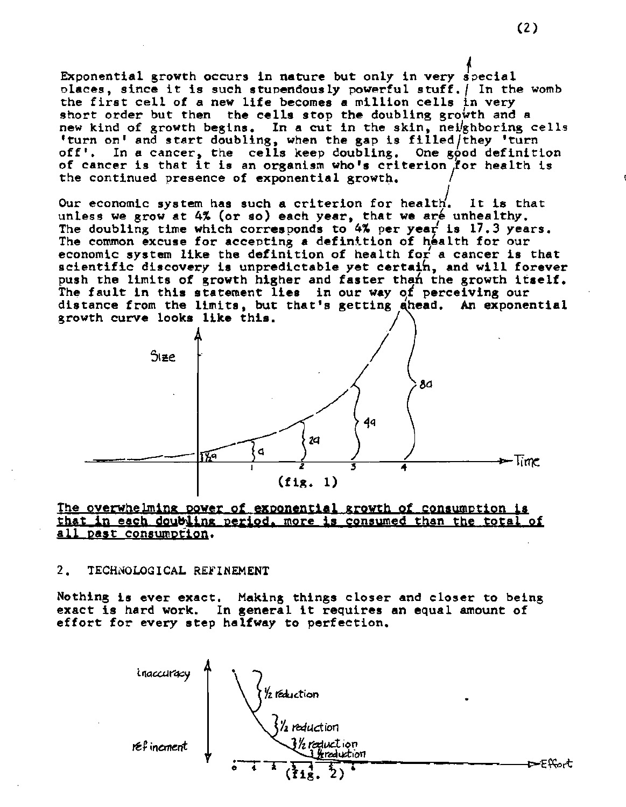Exponential growth occurs in nature but only in very special places, since it is such stupendously powerful stuff. | In the womb the first cell of a new life becomes a million cells in very short order but then the cells stop the doubling growth and a new kind of growth begins. In a cut in the skin, nei/ghboring cells 'turn on' and start doubling, when the gap is filled/they 'turn off'. In a cancer, the cells keep doubling. One good definition of cancer is that it is an organism who's criterion for health is the continued presence of exponential growth.

Our economic system has such a criterion for health. It is that unless we grow at 4% (or so) each year, that we are unhealthy. The doubling time which corresponds to 4% per year is 17.3 years. The common excuse for accepting a definition of health for our economic system like the definition of health for a cancer is that scientific discovery is unpredictable yet certain, and will forever push the limits of growth higher and faster than the growth itself. The fault in this statement lies in our way of perceiving our distance from the limits, but that's getting ahead. An exponential growth curve looks like this.



## The overwhelming power of exponential growth of consumption that in each doubling period, more is consumed than the total of all past consumption.

#### $2.$ TECHNOLOGICAL REFINEMENT

Nothing is ever exact. Making things closer and closer to being exact is hard work. In general it requires an equal amount of effort for every step halfway to perfection.

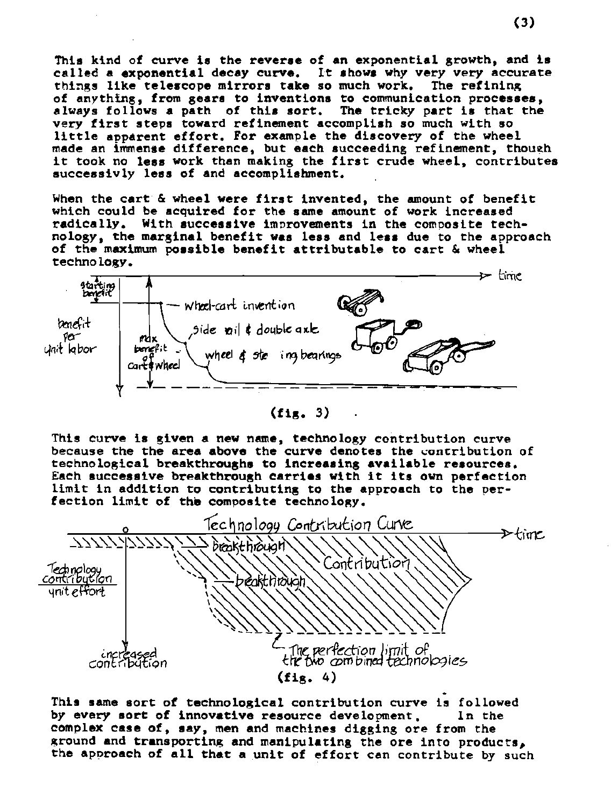This kind of curve is the reverse of an exponential growth, and is called a exponential decay curve. It shows why very very accurate things like telescope mirrors take so much work. The refining of anything, from gears to inventions to communication processes, always follows a path of this sort. The tricky part is that the very first steps toward refinement accomplish so much with so little apparent effort. For example the discovery of the wheel made an immense difference, but each succeeding refinement, though it took no less work than making the first crude wheel, contributes successivly less of and accomplishment.

When the cart & wheel were first invented, the amount of benefit which could be acquired for the same amount of work increased radically. With successive improvements in the composite technology, the marginal benefit was less and less due to the approach of the maximum possible benefit attributable to cart & wheel technology.



 $(f_{1R.} 3)$ 

This curve is given a new name, technology contribution curve because the the area above the curve denotes the contribution of technological breakthroughs to increasing available resources. Each successive breakthrough carries with it its own perfection limit in addition to contributing to the approach to the perfection limit of the composite technology.



This same sort of technological contribution curve is followed by every sort of innovative resource development. In the complex case of, say, men and machines digging ore from the ground and transporting and manipulating the ore into products, the approach of all that a unit of effort can contribute by such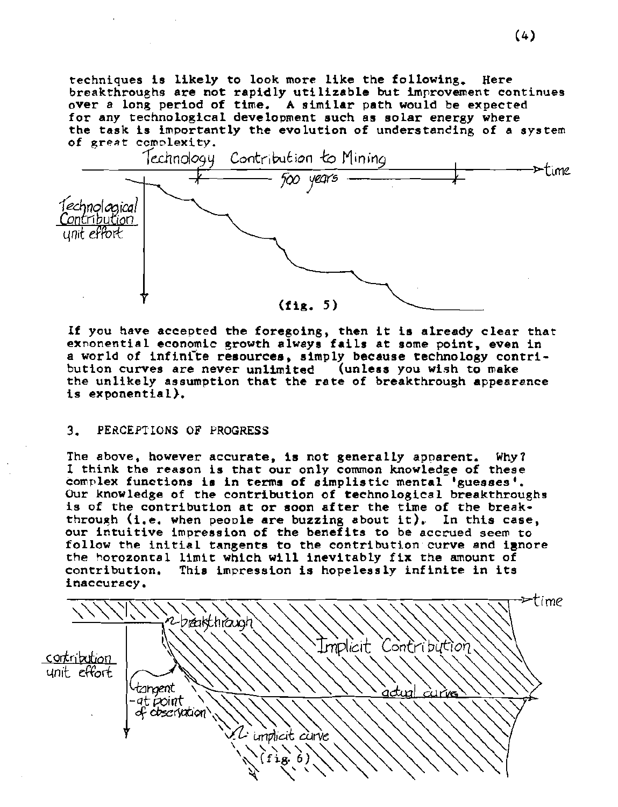techniques is likely to look more like the following. Here breakthroughs are not rapidly utilizable but improvement continues over a long period of time. <sup>A</sup> similar path would be expected for any technological development such as solar energy where the task is importantly the evolution of understanding of a system of great complexity.



If you have accepted the foregoing, then it is already clear that exnonential economic growth always fails at some point, even in a world of infinite resources, simply because technology contribution curves are never unlimited (unless you wish to make the unlikely assumption that the rate of breakthrough appearance is exponential).

## 3. PERCEPTIONS OF PROGRESS

The above, however accurate, is not generally apparent. Why? I think the reason is that our only common knowLedge of these complex functions is in terms of simplistic mental 'guesses'. Our knowLedge of the contribution of technological breakthroughs is of the contribution at or soon after the time of the break through (i.e. when people are buzzing about it). In this case, our intuitive impression of the benefits to be accrued seem to follow the initial tangents to the contribution curve and ignore the horozontal limit which will inevitably fix the amount of contribution. This impression is hopelessly infinite in its This impression is hopelessly infinite in its inaccuracy.

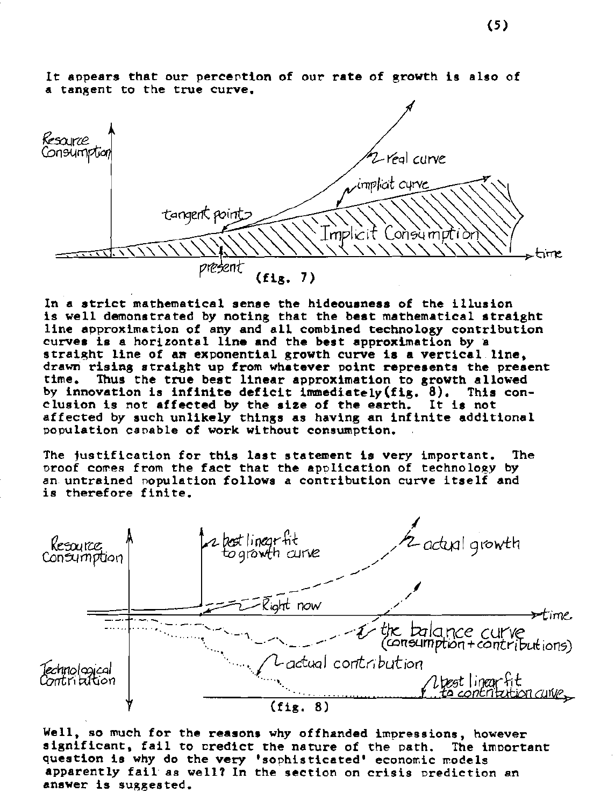

It appears that our perception of our rate of growth is also of a tangent to the true curve.

In <sup>a</sup> strict mathematical sense the hideousness of the illusion is well demonstrated by noting that the best mathematical straight line approximation of any and all combined technology contribution curves is a horizontal line and the best approximation by straight line of am exponential growth curve is a vertical line, drawn rising straight up from whatever point represents the present<br>time. Thus the true best linear approximation to growth allowed Thus the true best linear approximation to growth allowed<br>vation is infinite deficit immediately(fig. 8). This conby innovation is infinite deficit immediately(fig. 8). This<br>clusion is not affected by the size of the earth. It is not clusion is not affected by the size of the earth. affected by such unlikely things as having an infinite additional population capable of work without consumption.

The justification for this last statement is very important. The oroof comes from the fact that the application of technology by an untrained population follows a contribution curve itself and is therefore finite.



Well, so much for the reasons why offhanded impressions, however significant, fail to credict the nature of the path. The important question is why do the very 'sophisticated' economic models apparently fail' as well? In the section on crisis prediction an answer is suggested.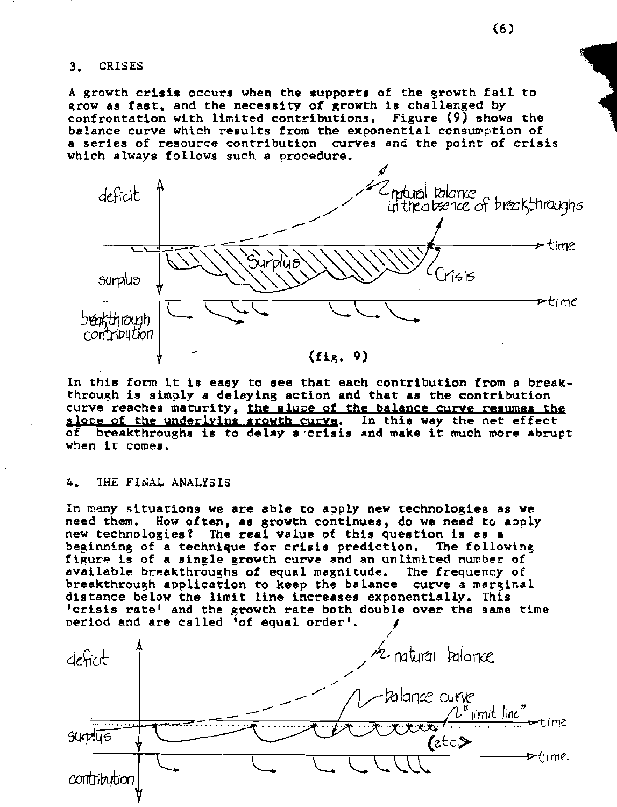CRISES  $3.$ 

A growth crisis occurs when the supports of the growth fail to grow as fast, and the necessity of growth is challenged by confrontation with limited contributions. Figure (9) shows the balance curve which results from the exponential consumption of a series of resource contribution curves and the point of crisis which always follows such a procedure.



In this form it is easy to see that each contribution from a breakthrough is simply a delaying action and that as the contribution curve reaches maturity, the slope of the balance curve resumes the slope of the underlying growth curve. In this way the net effect of breakthroughs is to delay a crisis and make it much more abrupt when it comes.

#### 4. THE FINAL ANALYSIS

In many situations we are able to apply new technologies as we need them. How often, as growth continues, do we need to apply new technologies? The real value of this question is as a beginning of a technique for crisis prediction. The following figure is of a single growth curve and an unlimited number of available breakthroughs of equal magnitude. The frequency of breakthrough application to keep the balance curve a marginal distance below the limit line increases exponentially. This 'crisis rate' and the growth rate both double over the same time period and are called 'of equal order'.

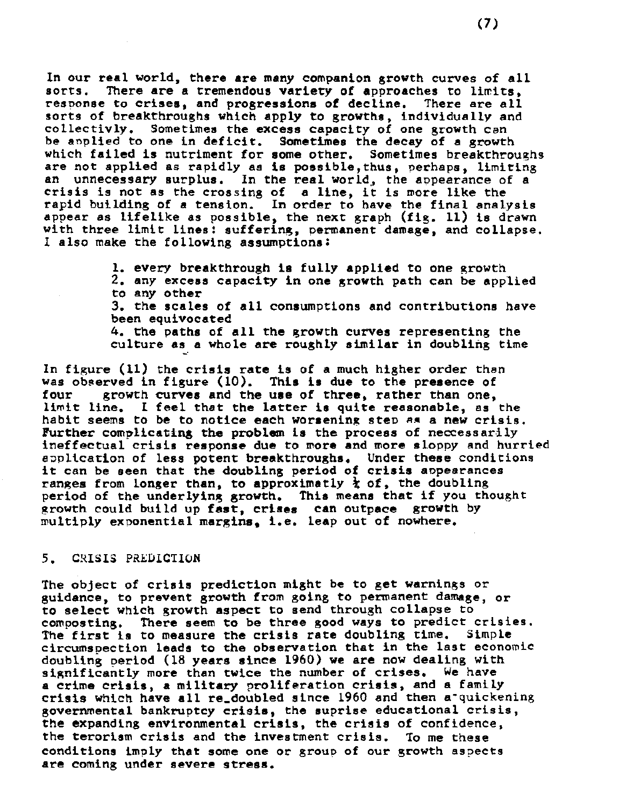In our real world, there are many companion growth curves of all sorts. There are a tremendous variety of approaches to limits. There are a tremendous variety of approaches to limits,<br>to crises, and progressions of decline. There are all response to crises, and progressions of decline. sorts of breakthroughs which apply to growths, individually and collectivly. Sometimes the excess capacity of one growth Can be aoplied to one in deficit. Sometimes the decay of a growth which failed is nutriment for some other. Sometimes breakthroughs are not applied as rapidly as is possible,thus, perhaps, limiting an unnecessary surplus. In the real world, the appearance of a crisis is not as the crossing of <sup>a</sup> line, it is more like the rapid building of a tension. In order to have the final analysis appear as lifelike as possible, the next graph (fig. 11) is drawn with three limit lines: suffering, permanent damage, and collapse. I also make the following assumptions:

> 1. every breakthrough is fully applied to one growth 2. any excess capacity in one growth path can be applied to any other

> 3. the scales of all consumptions and contributions have been equivocated

4. the paths of all the growth curves representing the culture as a whole are roughly similar in doubling time

In figure (11) the crisis rate is of a much higher order than was observed in figure (10). This is due to the presence of four  $\rho$  arowth curves and the use of three, rather than one. growth curves and the use of three, rather than one, limit line. I feel that the latter is quite reasonable, as the habit seems to be to notice each worsening step A. a new crisis. Further complicating the problem is the process of neccessarily ineffectual crisis response due to more and more sloppy and hurried aoplication of less potent breakthroughs. Under these conditions it can be seen that the doubling period of crisis appearances ranges from longer than, to approximatly  $\frac{1}{k}$  of, the doubling period of the underlying growth. This means that if you thought growth could build up fast, crises can outpace growth by multiply exponential margins. i.e. leap out of nowhere.

### 5. CRISIS PREDICTION

The object of crisis prediction might be to get warnings or guidance, to prevent growth from going to permanent damage, or to select which growth aspect to send through collapse to composting. There seem to be three good ways to predict crisies. The first is to measure the crisis rate doubling time. Simple circumspection leads to the observation that in the last economic doubling period (18 years since 1960) we are now dealing with significantly more than twice the number of crises. We have<br>a crime crisis, a military proliferation crisis, and a family crisis which have all re\_doubled since 1960 and then a quickening governmental bankruptcy crisis, the suprise educational crisis, the expanding environmental crisis, the crisis of confidence, the terorism crisis and the investment crisis. To me these conditions imply that some one or group of our growth aspects are coming under severe stress.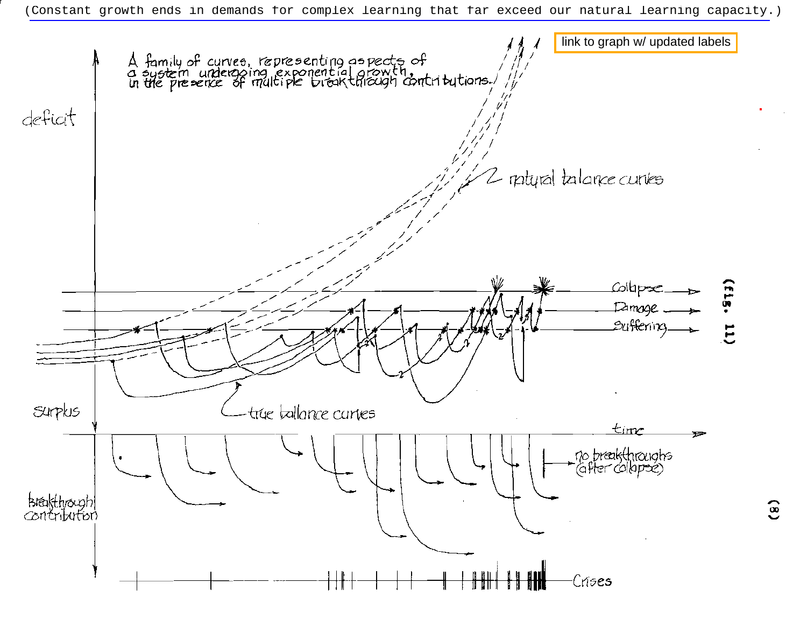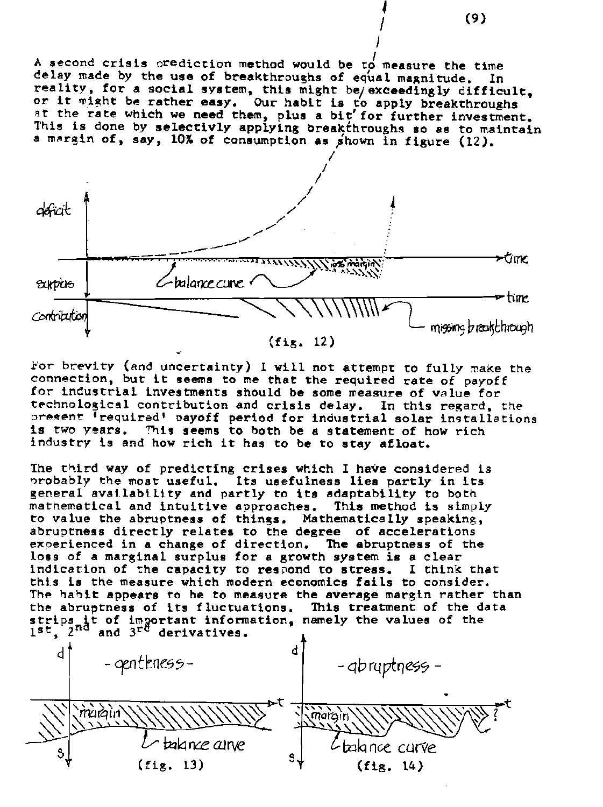A second crisis prediction method would be to measure the time delay made by the use of breakthroughs of equal magnitude. In reality, for a social system, this might be/exceedingly difficult, or it might be rather easy. Our habit is to apply breakthroughs at the rate which we need them, plus a bit for further investment. This is done by selectivly applying breakthroughs so as to maintain a margin of, say, 10% of consumption as shown in figure (12).



For brevity (and uncertainty) I will not attempt to fully make the connection, but it seems to me that the required rate of payoff for industrial investments should be some measure of value for technological contribution and crisis delay. In this regard, the present 'required' payoff period for industrial solar installations is two years. This seems to both be a statement of how rich industry is and how rich it has to be to stay afloat.

The third way of predicting crises which I have considered is probably the most useful. Its usefulness lies partly in its general availability and partly to its adaptability to both mathematical and intuitive approaches. This method is simply to value the abruptness of things. Mathematically speaking, abruptness directly relates to the degree of accelerations experienced in a change of direction. The abruptness of the loss of a marginal surplus for a growth system is a clear indication of the capacity to respond to stress. I think that this is the measure which modern economics fails to consider. The habit appears to be to measure the average margin rather than the abruptness of its fluctuations. This treatment of the data<br>strips it of important information, namely the values of the<br>1st, 2nd and 3<sup>rd</sup> derivatives.



 $(9)$